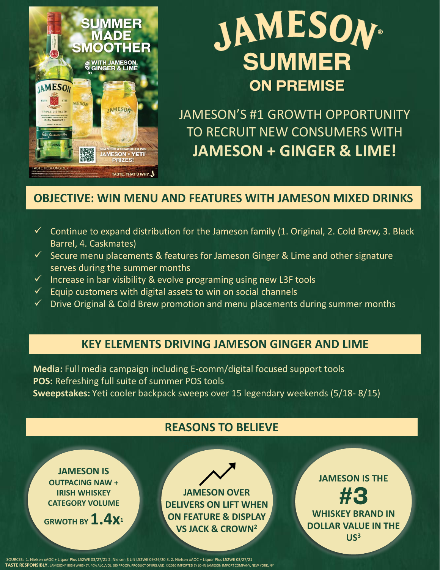

## **JAMESON® SUMMER ON PREMISE**

JAMESON'S #1 GROWTH OPPORTUNITY TO RECRUIT NEW CONSUMERS WITH **JAMESON + GINGER & LIME!**

### **OBJECTIVE: WIN MENU AND FEATURES WITH JAMESON MIXED DRINKS**

- $\checkmark$  Continue to expand distribution for the Jameson family (1. Original, 2. Cold Brew, 3. Black Barrel, 4. Caskmates)
- ✓ Secure menu placements & features for Jameson Ginger & Lime and other signature serves during the summer months
- $\checkmark$  Increase in bar visibility & evolve programing using new L3F tools
- $\checkmark$  Equip customers with digital assets to win on social channels
- $\checkmark$  Drive Original & Cold Brew promotion and menu placements during summer months

### **KEY ELEMENTS DRIVING JAMESON GINGER AND LIME**

**Media:** Full media campaign including E-comm/digital focused support tools **POS:** Refreshing full suite of summer POS tools **Sweepstakes:** Yeti cooler backpack sweeps over 15 legendary weekends (5/18- 8/15)

### **REASONS TO BELIEVE**

**JAMESON IS OUTPACING NAW + IRISH WHISKEY CATEGORY VOLUME** 

**GRWOTH BY 1.4x<sup>1</sup>**

**JAMESON OVER DELIVERS ON LIFT WHEN ON FEATURE & DISPLAY VS JACK & CROWN<sup>2</sup>**

**JAMESON IS THE WHISKEY BRAND IN DOLLAR VALUE IN THE US<sup>3</sup>**

**TASTE RESPONSIBLY.** JAMESON® IRISH WHISKEY. 40% ALC./VOL. (80 PROOF). PRODUCT OF IRELAND. ©2020 IMPORTED BY JOHN JAMESON IMPORT COMPANY, NEW YORK, NY SOURCES: 1. Nielsen xAOC + Liquor Plus L52WE 03/27/21 2. Nielsen \$ Lift L52WE 09/26/20 3. 2. Nielsen xAOC + Liquor Plus L52WE 03/27/21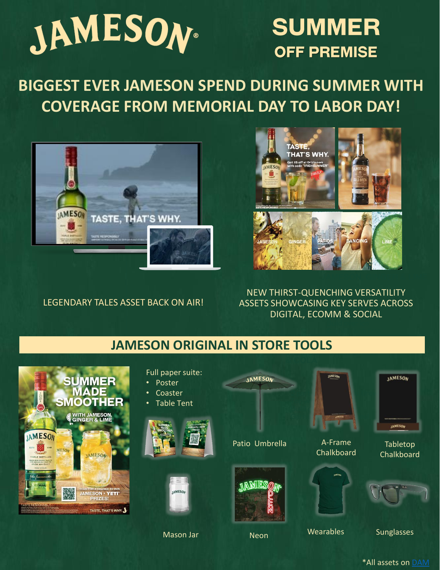

### **SUMMER OFF PREMISE**

**BIGGEST EVER JAMESON SPEND DURING SUMMER WITH COVERAGE FROM MEMORIAL DAY TO LABOR DAY!**



LEGENDARY TALES ASSET BACK ON AIR!



NEW THIRST-QUENCHING VERSATILITY ASSETS SHOWCASING KEY SERVES ACROSS DIGITAL, ECOMM & SOCIAL

### **JAMESON ORIGINAL IN STORE TOOLS**



Full paper suite: **IAMESOA JAMESON IAMESON** • Poster **Coaster** • Table Tent **JAMESON** Patio Umbrella A-Frame Tabletop **Chalkboard Chalkboard** *IAMESOM* AMESON Neon Wearables Sunglasses Mason Jar

### \*All assets on [DAM](https://www.dam.pernod-ricard-usa.com/share/828F759C-1B10-4325-B67AABDFBFC15FCC/)